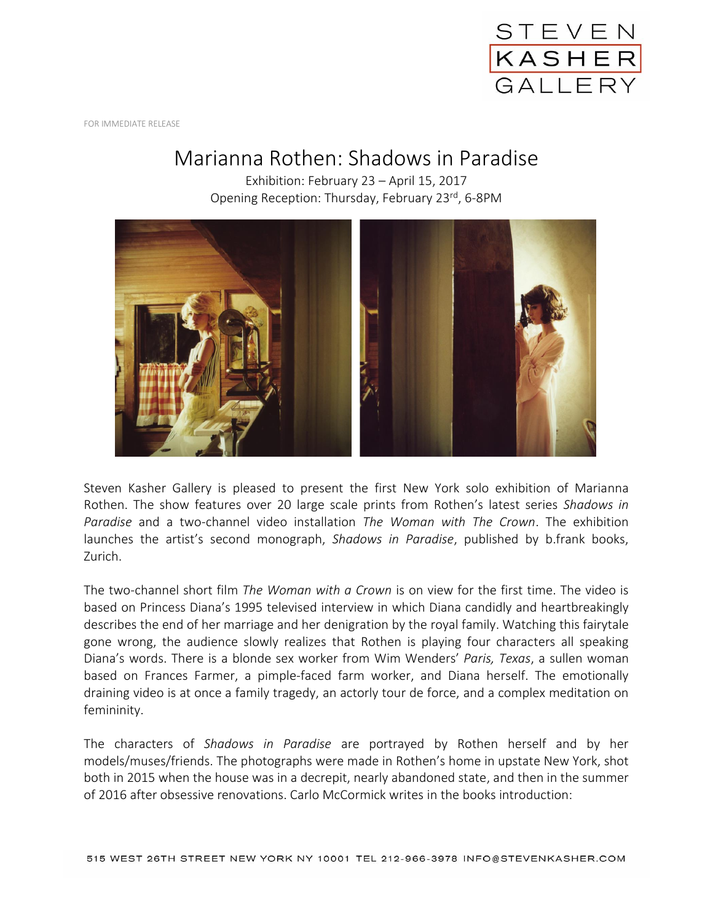

FOR IMMEDIATE RELEASE

## Marianna Rothen: Shadows in Paradise

Exhibition: February 23 – April 15, 2017 Opening Reception: Thursday, February 23<sup>rd</sup>, 6-8PM



Steven Kasher Gallery is pleased to present the first New York solo exhibition of Marianna Rothen. The show features over 20 large scale prints from Rothen's latest series *Shadows in Paradise* and a two-channel video installation *The Woman with The Crown*. The exhibition launches the artist's second monograph, *Shadows in Paradise*, published by b.frank books, Zurich.

The two-channel short film *The Woman with a Crown* is on view for the first time. The video is based on Princess Diana's 1995 televised interview in which Diana candidly and heartbreakingly describes the end of her marriage and her denigration by the royal family. Watching this fairytale gone wrong, the audience slowly realizes that Rothen is playing four characters all speaking Diana's words. There is a blonde sex worker from Wim Wenders' *Paris, Texas*, a sullen woman based on Frances Farmer, a pimple-faced farm worker, and Diana herself. The emotionally draining video is at once a family tragedy, an actorly tour de force, and a complex meditation on femininity.

The characters of *Shadows in Paradise* are portrayed by Rothen herself and by her models/muses/friends. The photographs were made in Rothen's home in upstate New York, shot both in 2015 when the house was in a decrepit, nearly abandoned state, and then in the summer of 2016 after obsessive renovations. Carlo McCormick writes in the books introduction: